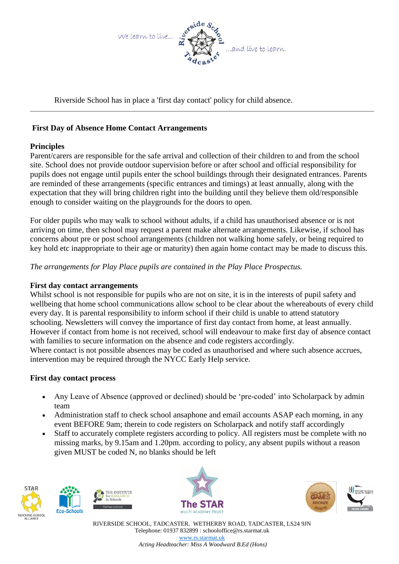

Riverside School has in place a 'first day contact' policy for child absence.

## **First Day of Absence Home Contact Arrangements**

## **Principles**

Parent/carers are responsible for the safe arrival and collection of their children to and from the school site. School does not provide outdoor supervision before or after school and official responsibility for pupils does not engage until pupils enter the school buildings through their designated entrances. Parents are reminded of these arrangements (specific entrances and timings) at least annually, along with the expectation that they will bring children right into the building until they believe them old/responsible enough to consider waiting on the playgrounds for the doors to open.

For older pupils who may walk to school without adults, if a child has unauthorised absence or is not arriving on time, then school may request a parent make alternate arrangements. Likewise, if school has concerns about pre or post school arrangements (children not walking home safely, or being required to key hold etc inappropriate to their age or maturity) then again home contact may be made to discuss this.

*The arrangements for Play Place pupils are contained in the Play Place Prospectus.*

## **First day contact arrangements**

Whilst school is not responsible for pupils who are not on site, it is in the interests of pupil safety and wellbeing that home school communications allow school to be clear about the whereabouts of every child every day. It is parental responsibility to inform school if their child is unable to attend statutory schooling. Newsletters will convey the importance of first day contact from home, at least annually. However if contact from home is not received, school will endeavour to make first day of absence contact with families to secure information on the absence and code registers accordingly. Where contact is not possible absences may be coded as unauthorised and where such absence accrues,

intervention may be required through the NYCC Early Help service.

## **First day contact process**

- Any Leave of Absence (approved or declined) should be 'pre-coded' into Scholarpack by admin team
- Administration staff to check school ansaphone and email accounts ASAP each morning, in any event BEFORE 9am; therein to code registers on Scholarpack and notify staff accordingly
- Staff to accurately complete registers according to policy. All registers must be complete with no missing marks, by 9.15am and 1.20pm. according to policy, any absent pupils without a reason given MUST be coded N, no blanks should be left









RIVERSIDE SCHOOL, TADCASTER. WETHERBY ROAD, TADCASTER, LS24 9JN Telephone: 01937 832899 : schooloffice@rs.starmat.uk [www.rs.starmat.uk](http://www.rs.starmat.uk/) *Acting Headteacher: Miss A Woodward B.Ed (Hons)*